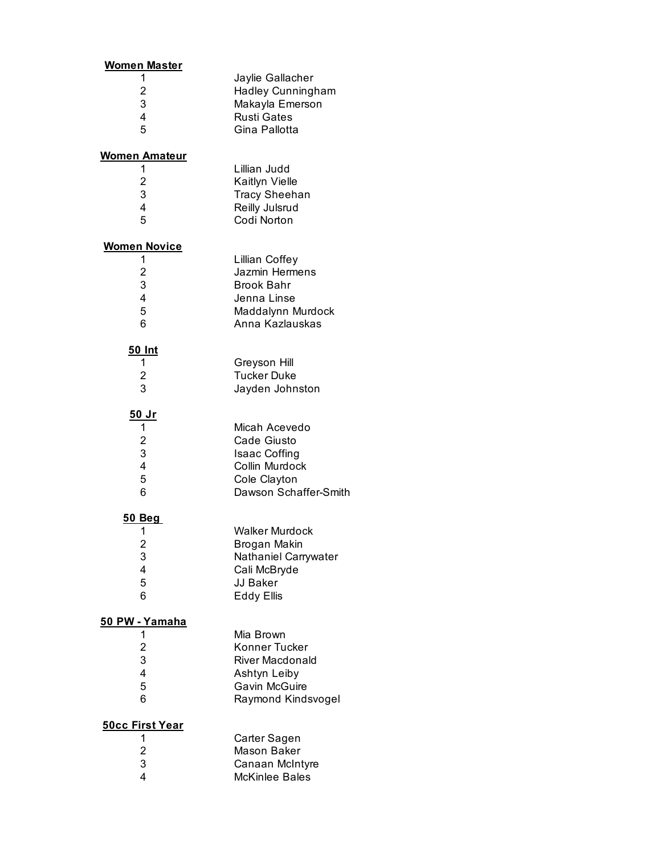| <u>Women Master</u>     |                                                          |
|-------------------------|----------------------------------------------------------|
| 1<br>2<br>3             | Jaylie Gallacher<br>Hadley Cunningham<br>Makayla Emerson |
| 4<br>5                  | <b>Rusti Gates</b><br>Gina Pallotta                      |
| W <u>omen Amateur</u>   |                                                          |
| 1                       | Lillian Judd                                             |
| 2<br>3                  | Kaitlyn Vielle<br><b>Tracy Sheehan</b>                   |
| 4                       | Reilly Julsrud                                           |
| 5                       | Codi Norton                                              |
| <u>Women Novice</u>     |                                                          |
| 1                       | <b>Lillian Coffey</b>                                    |
| $\overline{c}$          | Jazmin Hermens                                           |
| 3<br>4                  | <b>Brook Bahr</b><br>Jenna Linse                         |
| 5                       | Maddalynn Murdock                                        |
| 6                       | Anna Kazlauskas                                          |
| <u>50 Int</u>           |                                                          |
| 1                       | Greyson Hill                                             |
| 2                       | <b>Tucker Duke</b>                                       |
| 3                       | Jayden Johnston                                          |
| <u>50 Jr</u>            |                                                          |
| 1<br>2                  | Micah Acevedo<br>Cade Giusto                             |
| 3                       | <b>Isaac Coffing</b>                                     |
| $\overline{\mathbf{4}}$ | Collin Murdock                                           |
| 5                       | Cole Clayton                                             |
| 6                       | Dawson Schaffer-Smith                                    |
| <u>50 Beg</u>           |                                                          |
| 1                       | Walker Murdock                                           |
| $\overline{\mathbf{c}}$ | Brogan Makin                                             |
| 3<br>4                  | Nathaniel Carrywater<br>Cali McBryde                     |
| 5                       | JJ Baker                                                 |
| 6                       | <b>Eddy Ellis</b>                                        |
| <u>50 PW - Yamaha</u>   |                                                          |
| 1                       | Mia Brown                                                |
| $\overline{\mathbf{c}}$ | Konner Tucker                                            |
| 3<br>4                  | <b>River Macdonald</b>                                   |
| 5                       | Ashtyn Leiby<br>Gavin McGuire                            |
| 6                       | Raymond Kindsvogel                                       |
| <b>50cc First Year</b>  |                                                          |
| 1                       | Carter Sagen                                             |
| $\overline{\mathbf{c}}$ | Mason Baker                                              |
| 3                       | Canaan McIntyre                                          |
| 4                       | McKinlee Bales                                           |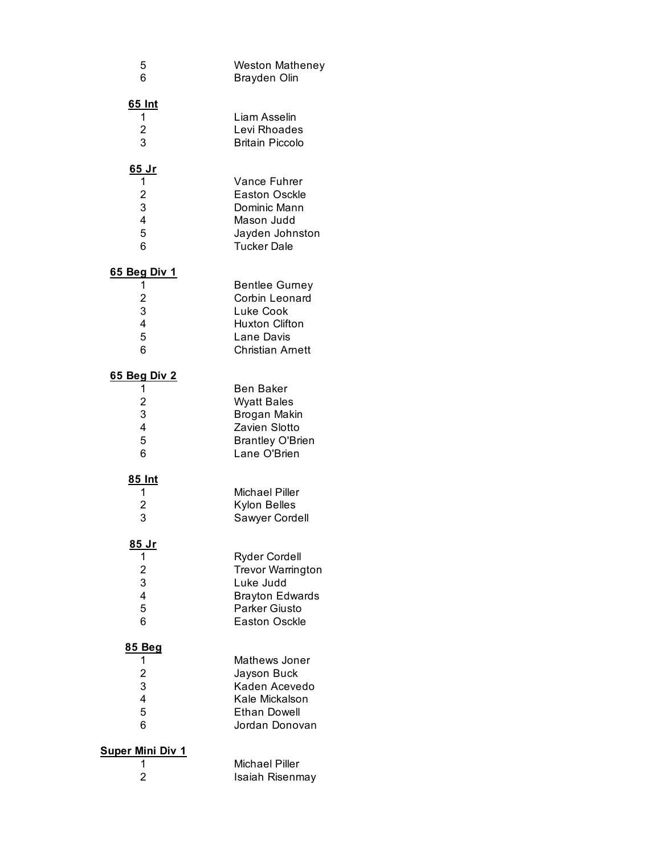| 5<br>6                                                           | Weston Matheney<br><b>Brayden Olin</b>                                                                                                  |
|------------------------------------------------------------------|-----------------------------------------------------------------------------------------------------------------------------------------|
| <u>65 Int</u><br>1<br>$\overline{c}$<br>3                        | Liam Asselin<br>Levi Rhoades<br><b>Britain Piccolo</b>                                                                                  |
| <u>65 Jr</u><br>1<br>$\overline{\mathbf{c}}$<br>3<br>4<br>5<br>6 | Vance Fuhrer<br><b>Easton Osckle</b><br>Dominic Mann<br>Mason Judd<br>Jayden Johnston<br><b>Tucker Dale</b>                             |
| <u>65 Beg Div 1</u><br>1<br>$\overline{c}$<br>3<br>4<br>5<br>6   | <b>Bentlee Gurney</b><br>Corbin Leonard<br>Luke Cook<br><b>Huxton Clifton</b><br>Lane Davis<br><b>Christian Arnett</b>                  |
| <u>65 Beg Div 2</u><br>1<br>$\overline{c}$<br>3<br>4<br>5<br>6   | <b>Ben Baker</b><br><b>Wyatt Bales</b><br>Brogan Makin<br>Zavien Slotto<br><b>Brantley O'Brien</b><br>Lane O'Brien                      |
| <u>85 Int</u><br>1<br>$\overline{c}$<br>3                        | <b>Michael Piller</b><br><b>Kylon Belles</b><br>Sawyer Cordell                                                                          |
| <u>85 Jr</u><br>1<br>$\overline{c}$<br>3<br>4<br>5<br>6          | <b>Ryder Cordell</b><br><b>Trevor Warrington</b><br>Luke Judd<br><b>Brayton Edwards</b><br><b>Parker Giusto</b><br><b>Easton Osckle</b> |
| 85 Beg<br>1<br>$\overline{c}$<br>3<br>4<br>5<br>6                | Mathews Joner<br>Jayson Buck<br>Kaden Acevedo<br>Kale Mickalson<br><b>Ethan Dowell</b><br>Jordan Donovan                                |
| Super Mini Div 1<br>1<br>$\overline{2}$                          | Michael Piller<br>Isaiah Risenmay                                                                                                       |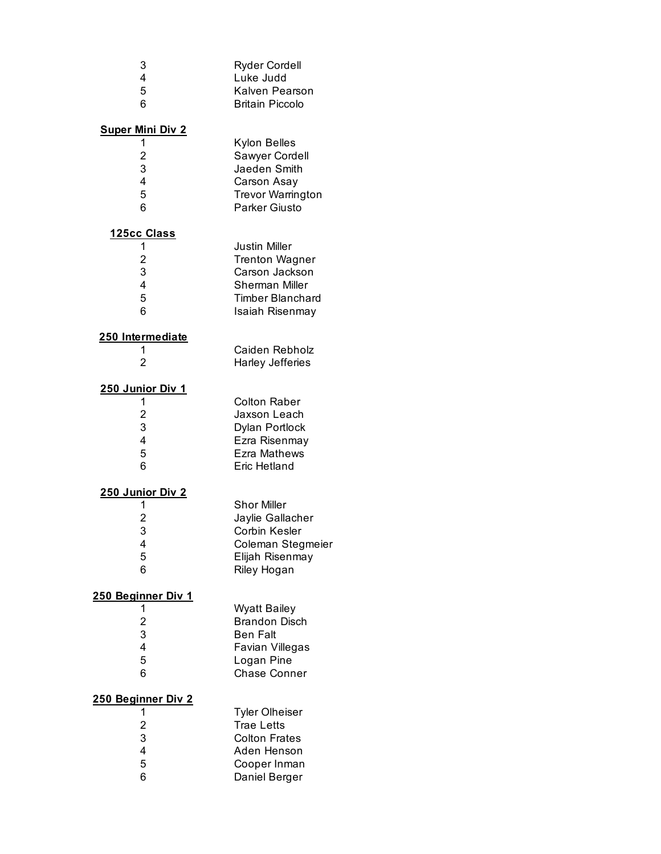| 3<br>4<br>5<br>6                                                   | <b>Ryder Cordell</b><br>Luke Judd<br>Kalven Pearson<br><b>Britain Piccolo</b>                                                   |
|--------------------------------------------------------------------|---------------------------------------------------------------------------------------------------------------------------------|
| <b>Super Mini Div 2</b><br>1<br>$\overline{c}$<br>3<br>4<br>5<br>6 | Kylon Belles<br>Sawyer Cordell<br>Jaeden Smith<br>Carson Asay<br><b>Trevor Warrington</b><br>Parker Giusto                      |
| <u> 125cc Class</u><br>1<br>2<br>3<br>4<br>5<br>6                  | <b>Justin Miller</b><br><b>Trenton Wagner</b><br>Carson Jackson<br>Sherman Miller<br><b>Timber Blanchard</b><br>Isaiah Risenmay |
| 250 Intermediate<br>1<br>2                                         | Caiden Rebholz<br><b>Harley Jefferies</b>                                                                                       |
| <u>250 Junior Div 1</u><br>1<br>$\overline{c}$<br>3<br>4<br>5<br>6 | <b>Colton Raber</b><br>Jaxson Leach<br>Dylan Portlock<br>Ezra Risenmay<br>Ezra Mathews<br>Eric Hetland                          |
| <u>250 Junior Div 2</u><br>1<br>2<br>3<br>4<br>5<br>6              | <b>Shor Miller</b><br>Jaylie Gallacher<br><b>Corbin Kesler</b><br>Coleman Stegmeier<br>Elijah Risenmay<br>Riley Hogan           |
| 250 Beginner Div 1<br>1<br>$\overline{c}$<br>3<br>4<br>5<br>6      | <b>Wyatt Bailey</b><br><b>Brandon Disch</b><br><b>Ben Falt</b><br>Favian Villegas<br>Logan Pine<br><b>Chase Conner</b>          |
| 250 Beginner Div 2<br>1<br>$\overline{c}$<br>3<br>4<br>5<br>6      | <b>Tyler Olheiser</b><br><b>Trae Letts</b><br><b>Colton Frates</b><br>Aden Henson<br>Cooper Inman<br>Daniel Berger              |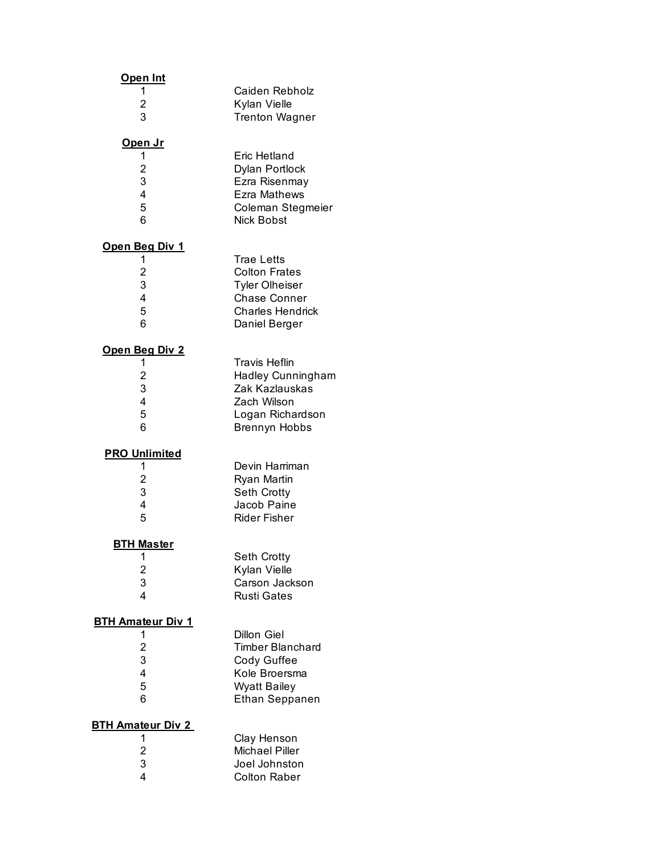| <u>Open Int</u>                                                  |                                                                                                                                |
|------------------------------------------------------------------|--------------------------------------------------------------------------------------------------------------------------------|
| 1<br>2<br>3                                                      | Caiden Rebholz<br>Kylan Vielle<br><b>Trenton Wagner</b>                                                                        |
| <u>Open Jr</u><br>1<br>$\overline{2}$<br>3<br>4<br>5<br>6        | Eric Hetland<br>Dylan Portlock<br>Ezra Risenmay<br>Ezra Mathews<br>Coleman Stegmeier<br>Nick Bobst                             |
| <u>Open Beg Div 1</u><br>1<br>$\overline{2}$<br>3<br>4<br>5<br>6 | <b>Trae Letts</b><br><b>Colton Frates</b><br><b>Tyler Olheiser</b><br><b>Chase Conner</b><br>Charles Hendrick<br>Daniel Berger |
| <u>Open Beg Div 2</u><br>1<br>$\overline{2}$<br>3<br>4<br>5<br>6 | <b>Travis Heflin</b><br><b>Hadley Cunningham</b><br>Zak Kazlauskas<br>Zach Wilson<br>Logan Richardson<br><b>Brennyn Hobbs</b>  |
| <b>PRO Unlimited</b><br>1<br>$\overline{2}$<br>3<br>4<br>5       | Devin Harriman<br>Ryan Martin<br><b>Seth Crotty</b><br>Jacob Paine<br>Rider Fisher                                             |
| <u>BTH Master</u><br>1<br>$\overline{c}$<br>3<br>4               | Seth Crotty<br>Kylan Vielle<br>Carson Jackson<br><b>Rusti Gates</b>                                                            |
| <b>BTH Amateur Div 1</b><br>1<br>2<br>3<br>4<br>5<br>6           | Dillon Giel<br>Timber Blanchard<br>Cody Guffee<br>Kole Broersma<br><b>Wyatt Bailey</b><br>Ethan Seppanen                       |
| <b>BTH Amateur Div 2</b><br>1<br>$\overline{c}$<br>3<br>4        | Clay Henson<br><b>Michael Piller</b><br>Joel Johnston<br><b>Colton Raber</b>                                                   |